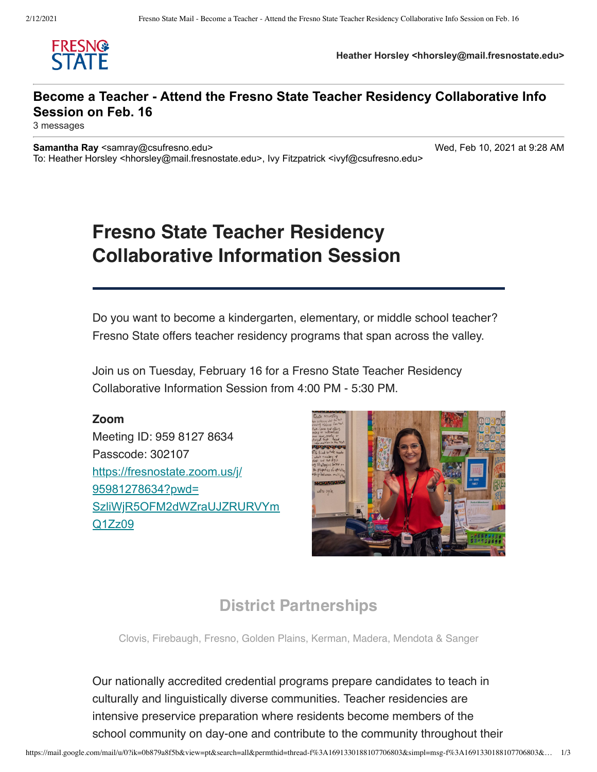

**Heather Horsley <hhorsley@mail.fresnostate.edu>**

### **Become a Teacher - Attend the Fresno State Teacher Residency Collaborative Info Session on Feb. 16**

3 messages

**Samantha Ray** <samray@csufresno.edu> Wed, Feb 10, 2021 at 9:28 AM To: Heather Horsley <hhorsley@mail.fresnostate.edu>, Ivy Fitzpatrick <ivyf@csufresno.edu>

# **Fresno State Teacher Residency Collaborative Information Session**

Do you want to become a kindergarten, elementary, or middle school teacher? Fresno State offers teacher residency programs that span across the valley.

Join us on Tuesday, February 16 for a Fresno State Teacher Residency Collaborative Information Session from 4:00 PM - 5:30 PM.

#### **Zoom**

Meeting ID: 959 8127 8634 Passcode: 302107 https://fresnostate.zoom.us/j/ 95981278634?pwd= [SzliWjR5OFM2dWZraUJZRURVYm](https://fresnostate.zoom.us/j/95981278634?pwd=SzliWjR5OFM2dWZraUJZRURVYmQ1Zz09) Q1Zz09



## **District Partnerships**

Clovis, Firebaugh, Fresno, Golden Plains, Kerman, Madera, Mendota & Sanger

Our nationally accredited credential programs prepare candidates to teach in culturally and linguistically diverse communities. Teacher residencies are intensive preservice preparation where residents become members of the school community on day-one and contribute to the community throughout their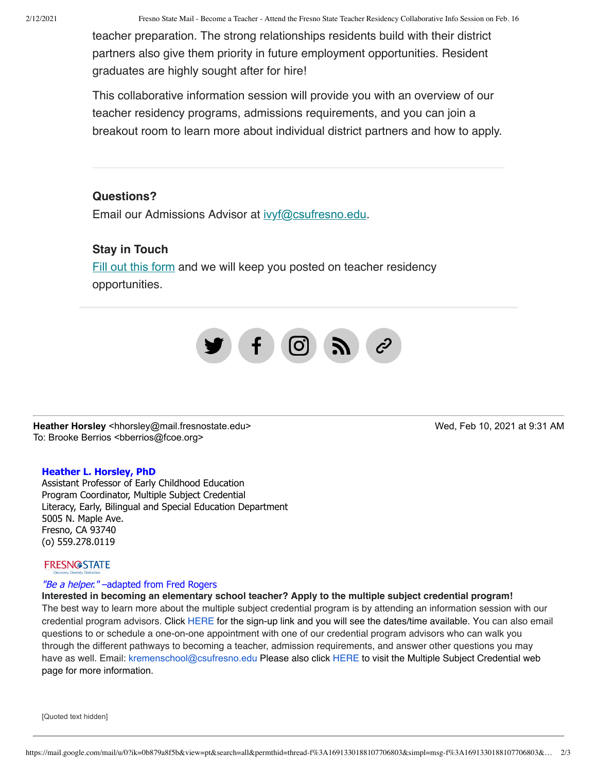2/12/2021 Fresno State Mail - Become a Teacher - Attend the Fresno State Teacher Residency Collaborative Info Session on Feb. 16

teacher preparation. The strong relationships residents build with their district partners also give them priority in future employment opportunities. Resident graduates are highly sought after for hire!

This collaborative information session will provide you with an overview of our teacher residency programs, admissions requirements, and you can join a breakout room to learn more about individual district partners and how to apply.

#### **Questions?**

Email our Admissions Advisor at [ivyf@csufresno.edu](mailto:ivyf@csufresno.edu?subject=Fresno%20Teacher%20Residency%20Program).

#### **Stay in Touch**

[Fill out this form](https://docs.google.com/forms/d/e/1FAIpQLSckyg_iV5sc2tgAug3zkfCPDhDGPbKToqS97o6NisvCQb-0YQ/viewform?usp=sf_link) and we will keep you posted on teacher residency opportunities.



**Heather Horsley** <hhorsley@mail.fresnostate.edu> Wed, Feb 10, 2021 at 9:31 AM To: Brooke Berrios <bberrios@fcoe.org>

## **Heather L. Horsley, PhD**

Assistant Professor of Early Childhood Education Program Coordinator, Multiple Subject Credential Literacy, Early, Bilingual and Special Education Department 5005 N. Maple Ave. Fresno, CA 93740 (o) 559.278.0119

#### **FRESN@STATE**

#### "Be a helper." - adapted from Fred Rogers

**Interested in becoming an elementary school teacher? Apply to the multiple subject credential program!** The best way to learn more about the multiple subject credential program is by attending an information session with our credential program advisors. Click [HERE](https://docs.google.com/forms/d/e/1FAIpQLSfORGFpF3YE3Uxgdhjl5hDfdwg_b47fsJnX-7z0W3RS0XFnyw/viewform) for the sign-up link and you will see the dates/time available. You can also email questions to or schedule a one-on-one appointment with one of our credential program advisors who can walk you through the different pathways to becoming a teacher, admission requirements, and answer other questions you may have as well. Email: [kremenschool@csufresno.edu](mailto:kremenschool@csufresno.edu) Please also click [HERE](http://fresnostate.edu/kremen/teaching-credential/) to visit the Multiple Subject Credential web page for more information.

[Quoted text hidden]